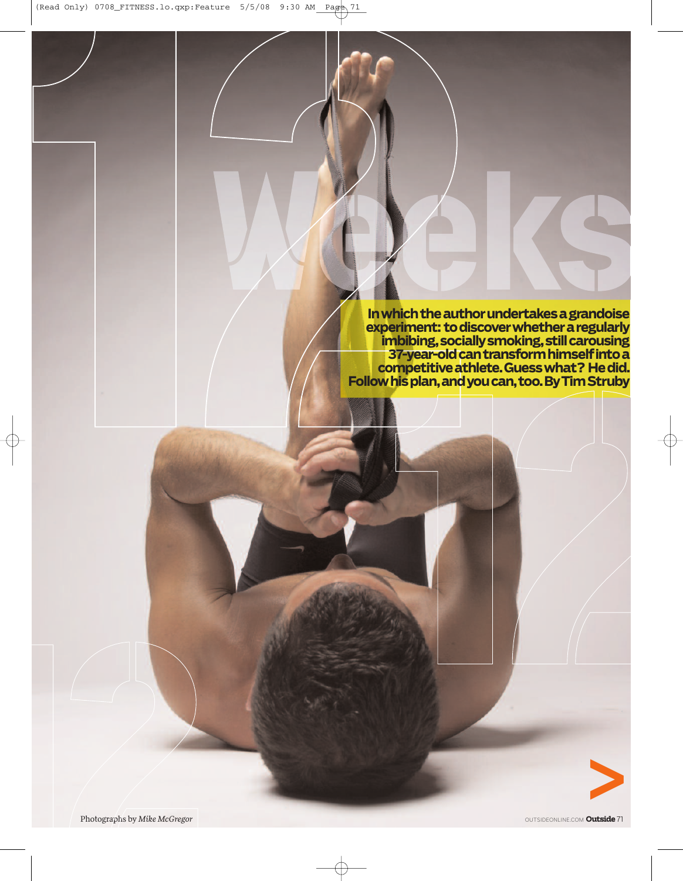**Inwhichtheauthorundertakesagrandoise experiment: todiscoverwhetheraregularly imbibing,sociallysmoking,stillcarousing 37-year-oldcantransformhimselfintoa competitiveathlete.Guesswhat? Hedid. Followhisplan,andyoucan,too.ByTimStruby**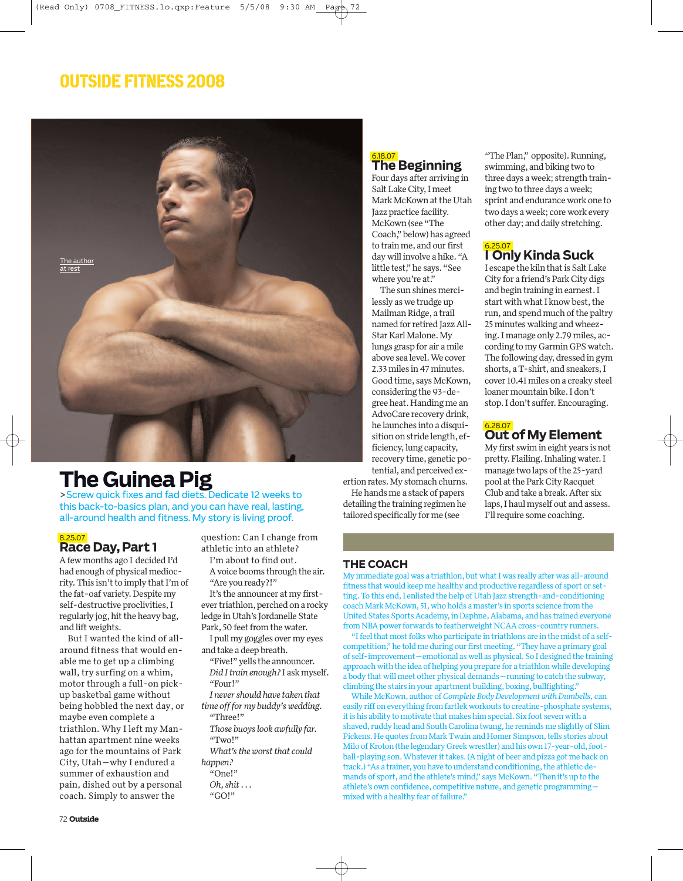### **OUTSIDE FITNESS 2008**



## **The Guinea Pig**

>Screw quick fixes and fad diets. Dedicate 12 weeks to this back-to-basics plan, and you can have real, lasting, all-around health and fitness. My story is living proof.

#### 8.25.07

**Race Day, Part 1**

Afew months ago I decided I'd had enough of physical mediocrity. This isn't to imply that I'm of the fat-oaf variety.Despite my self-destructive proclivities,I regularly jog, hit the heavy bag, and lift weights.

But I wanted the kind of allaround fitness that would enable me to get up a climbing wall, try surfing on a whim, motor through a full-on pickup basketbal game without being hobbled the next day, or maybe even complete a triathlon. Why I left my Manhattan apartment nine weeks ago for the mountains of Park City, Utah—why I endured a summer of exhaustion and pain, dished out by a personal coach. Simply to answer the

question: Can I change from athletic into an athlete?

I'm about to find out. Avoice booms through the air.

"Are you ready?!" It's the announcer at my firstever triathlon, perched on a rocky

ledge in Utah's Jordanelle State Park, 50 feet from the water.

I pull my goggles over my eyes and take a deep breath.

"Five!" yells the announcer. *Did Itrain enough?* I ask myself. "Four!"

*I never should have taken that time offfor my buddy's wedding.*

"Three!" *Those buoys look awfully far.* "Two!"

*What's the worst that could happen?* "One!"

*Oh, shit*... "GO!"

#### 6.18.07 **The Beginning**

Four days after arriving in Salt Lake City,I meet Mark McKown at the Utah Jazz practice facility. McKown (see "The Coach,"below) has agreed to train me, and our first daywill involve a hike."A little test," he says. "See where you're at."

The sun shines mercilessly as we trudge up Mailman Ridge, a trail named for retired JazzAll-Star Karl Malone. My lungs grasp for air a mile above sea level.We cover 2.33 miles in 47 minutes. Good time, says McKown, considering the 93-degree heat.Handing me an AdvoCare recovery drink, he launches into a disquisition on stride length, efficiency, lung capacity, recovery time, genetic potential, and perceived ex-

ertion rates.My stomach churns.

He hands me a stack of papers detailing the training regimen he tailored specifically for me (see

"The Plan," opposite). Running, swimming, and biking two to three days aweek; strength training two to three days aweek; sprint and endurancework one to two days a week; core work every other day; and daily stretching.

#### 6.25.07 **I Only Kinda Suck**

I escape the kiln that is Salt Lake City for a friend's Park City digs and begin training in earnest.I start with what I know best, the run, and spend much of the paltry 25 minutes walking and wheezing.I manage only 2.79 miles, according to my Garmin GPSwatch. The following day, dressed in gym shorts, aT-shirt, and sneakers,I cover 10.41 miles on a creaky steel loaner mountain bike.I don't stop.I don't suffer.Encouraging.

#### 6.28.07 **Out ofMyElement**

My first swim in eight years is not pretty. Flailing. Inhaling water. I manage two laps of the 25-yard pool at the Park City Racquet Club and take a break.After six laps,I haul myself out and assess. I'll require some coaching.

#### **THE COACH**

My immediate goal was a triathlon, but what I was really after was all-around fitness that would keep me healthy and productive regardless of sport or setting. To this end, I enlisted the help of Utah Jazz strength-and-conditioning coachMark McKown, 51,who holds a master's in sports science from the United States Sports Academy, in Daphne, Alabama, and has trained everyone from NBA power forwards to featherweight NCAA cross-country runners.

"I feel that most folks who participate in triathlons are in the midst of a selfcompetition,"he told me during our first meeting."They have a primary goal of self-improvement—emotional aswell as physical.So I designed the training approach with the idea of helping you prepare for a triathlon while developing a body that will meet other physical demands—running to catch the subway, climbing the stairs in your apartment building, boxing, bullfighting."

While McKown, author of *Complete Body Development* with Dumbells, can easily riff on everything from fartlek workouts to creatine-phosphate systems, it is his ability to motivate that makes him special. Six foot seven with a shaved, ruddy head and South Carolina twang, he reminds me slightly of Slim Pickens. He quotes from Mark Twain and Homer Simpson, tells stories about Milo of Kroton (the legendary Greek wrestler) and his own 17-year-old, football-playing son. Whatever it takes. (A night of beer and pizza got me back on track.) "As a trainer, you have to understand conditioning, the athletic demands of sport, and the athlete's mind," says McKown."Then it's up to the athlete's own confidence, competitive nature, and genetic programming mixed with a healthy fear of failure."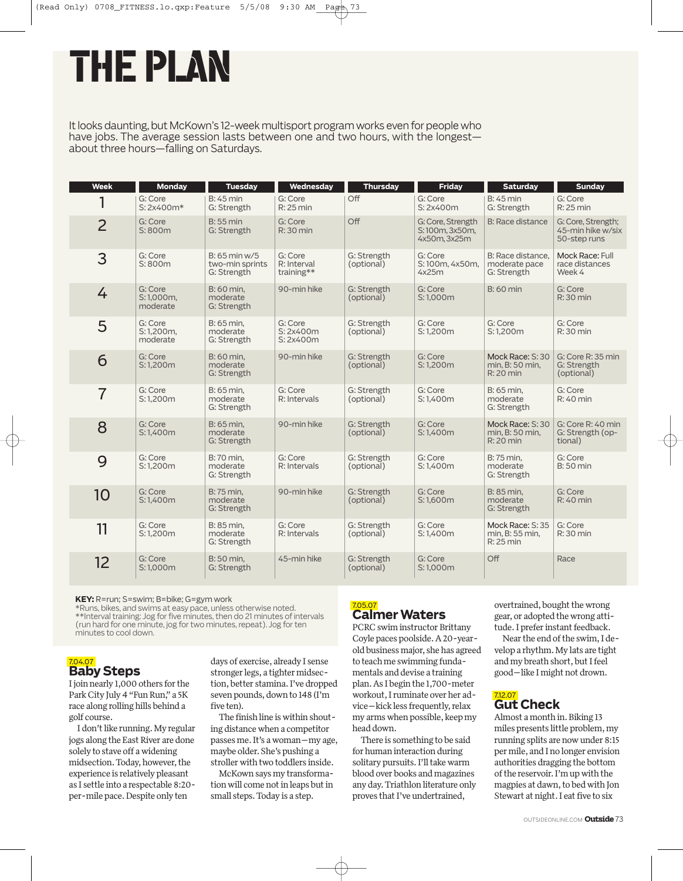# THEPLAN

It looks daunting, but McKown's 12-week multisport program works even for people who have jobs. The average session lasts between one and two hours, with the longest about three hours—falling on Saturdays.

| <b>Week</b>    | <b>Monday</b>                    | <b>Tuesday</b>                                    | Wednesday                            | <b>Thursday</b>           | <b>Friday</b>                                       | <b>Saturday</b>                                   | Sunday                                                  |
|----------------|----------------------------------|---------------------------------------------------|--------------------------------------|---------------------------|-----------------------------------------------------|---------------------------------------------------|---------------------------------------------------------|
|                | G: Core<br>S: 2x400m*            | <b>B: 45 min</b><br>G: Strength                   | G: Core<br>R: 25 min                 | Off                       | G: Core<br>S: 2x400m                                | <b>B: 45 min</b><br>G: Strength                   | G: Core<br>R: 25 min                                    |
| $\overline{2}$ | G: Core<br>S: 800m               | <b>B: 55 min</b><br>G: Strength                   | G: Core<br>$R:30$ min                | Off                       | G: Core, Strength<br>S:100m, 3x50m,<br>4x50m, 3x25m | B: Race distance                                  | G: Core, Strength;<br>45-min hike w/six<br>50-step runs |
| 3              | G: Core<br>S: 800m               | $B: 65$ min w/5<br>two-min sprints<br>G: Strength | G: Core<br>R: Interval<br>training** | G: Strength<br>(optional) | G: Core<br>S:100m, 4x50m,<br>4x25m                  | B: Race distance.<br>moderate pace<br>G: Strength | Mock Race: Full<br>race distances<br>Week 4             |
| 4              | G: Core<br>S:1.000m.<br>moderate | B: 60 min.<br>moderate<br>G: Strength             | 90-min hike                          | G: Strength<br>(optional) | G: Core<br>S:1.000m                                 | <b>B:</b> 60 min                                  | G: Core<br>R: 30 min                                    |
| 5              | G: Core<br>S:1,200m,<br>moderate | B: 65 min.<br>moderate<br>G: Strength             | G: Core<br>S: 2x400m<br>S:2x400m     | G: Strength<br>(optional) | G: Core<br>S:1,200m                                 | G: Core<br>S:1,200m                               | G: Core<br>R: 30 min                                    |
| 6              | G: Core<br>S: 1,200m             | B: 60 min.<br>moderate<br>G: Strength             | 90-min hike                          | G: Strength<br>(optional) | G: Core<br>S:1,200m                                 | Mock Race: S: 30<br>min, B: 50 min,<br>R: 20 min  | G: Core R: 35 min<br>G: Strength<br>(optional)          |
| $\overline{7}$ | G: Core<br>S:1.200m              | B: 65 min.<br>moderate<br>G: Strength             | G: Core<br>R: Intervals              | G: Strength<br>(optional) | G: Core<br>S:1.400m                                 | B: 65 min.<br>moderate<br>G: Strength             | G: Core<br>$R:40$ min                                   |
| 8              | G: Core<br>S:1.400m              | B: 65 min.<br>moderate<br>G: Strength             | 90-min hike                          | G: Strength<br>(optional) | G: Core<br>S:1.400m                                 | Mock Race: S: 30<br>min, B: 50 min,<br>R: 20 min  | G: Core R: 40 min<br>G: Strength (op-<br>tional)        |
| 9              | G: Core<br>S:1,200m              | B: 70 min.<br>moderate<br>G: Strength             | G: Core<br>R: Intervals              | G: Strength<br>(optional) | G: Core<br>S:1.400m                                 | B: 75 min.<br>moderate<br>G: Strength             | G: Core<br><b>B:50 min</b>                              |
| 10             | G: Core<br>S:1,400m              | B: 75 min.<br>moderate<br>G: Strength             | 90-min hike                          | G: Strength<br>(optional) | G: Core<br>S:1,600m                                 | B: 85 min.<br>moderate<br>G: Strength             | G: Core<br>R: 40 min                                    |
| 11             | G: Core<br>S:1,200m              | B: 85 min,<br>moderate<br>G: Strength             | G: Core<br>R: Intervals              | G: Strength<br>(optional) | G: Core<br>S:1,400m                                 | Mock Race: S: 35<br>min, B: 55 min,<br>R: 25 min  | G: Core<br>R: 30 min                                    |
| 12             | G: Core<br>S:1.000m              | B: 50 min.<br>G: Strength                         | 45-min hike                          | G: Strength<br>(optional) | G: Core<br>S:1.000m                                 | Off                                               | Race                                                    |

**KEY:** R=run; S=swim; B=bike; G=gym work \*Runs, bikes, and swims at easy pace, unless otherwise noted. \*\*Interval training: Jog for five minutes, then do 21 minutes of intervals (run hard for one minute, jog for two minutes,repeat). Jog for ten minutes to cool down.



I join nearly 1,000 others for the Park City July 4 "Fun Run," a 5K race along rolling hills behind a golf course.

I don't like running. My regular jogs along the East River are done solely to stave off awidening midsection. Today, however, the experience is relatively pleasant as I settle into a respectable 8:20 per-mile pace.Despite only ten

days of exercise, already I sense stronger legs, a tighter midsection, better stamina.I've dropped seven pounds, down to 148 (I'm five ten).

The finish line iswithin shouting distancewhen a competitor passes me.It's awoman—my age, maybe older.She's pushing a stroller with two toddlers inside.

McKown says my transformation will come not in leaps but in small steps.Today is a step.

## 7.05.07 **CalmerWaters**

PCRC swim instructor Brittany Coyle paces poolside.A20-yearold business major, she has agreed to teach me swimming fundamentals and devise a training plan.As I begin the 1,700-meter workout,I ruminate over her advice—kick less frequently, relax my arms when possible, keep my head down.

There is something to be said for human interaction during solitary pursuits. I'll take warm blood over books and magazines any day.Triathlon literature only proves that I've undertrained,

overtrained, bought the wrong gear,or adopted thewrong attitude. I prefer instant feedback.

Near the end of the swim, I develop a rhythm.My lats are tight and my breath short, but I feel good—like I might not drown.

#### 7.12.07 **Gut Check**

Almost a month in. Biking 13 miles presents little problem,my running splits are nowunder 8:15 per mile, and I no longer envision authorities dragging the bottom ofthe reservoir.I'm upwith the magpies at dawn, to bed with Jon Stewart at night. I eat five to six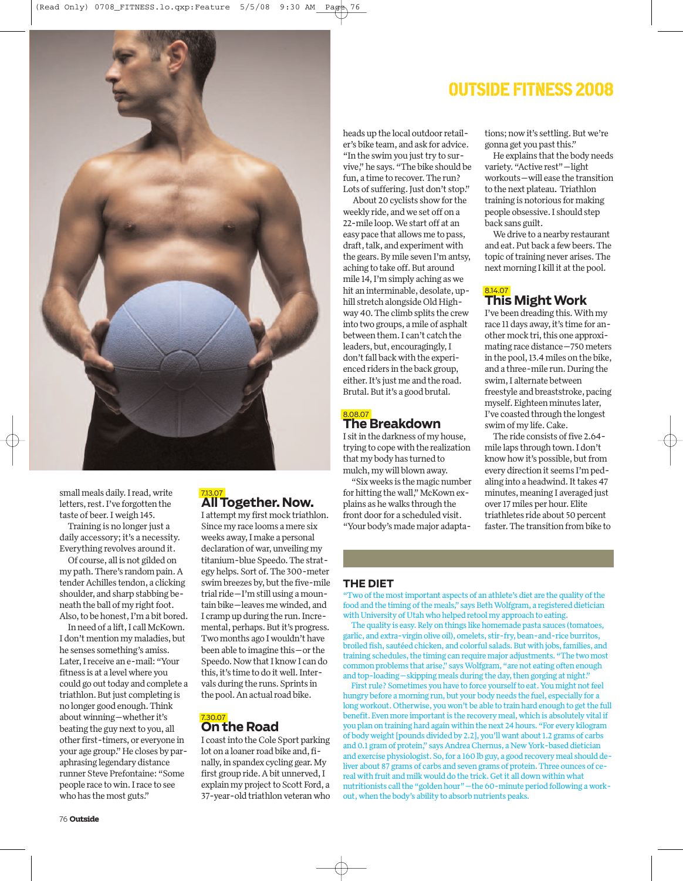

small meals daily. I read, write letters, rest.I've forgotten the taste of beer.I weigh 145.

Training is no longer just a daily accessory; it's a necessity. Everything revolves around it.

Of course, all is not gilded on my path.There's random pain.A tender Achilles tendon, a clicking shoulder, and sharp stabbing beneath the ball of my right foot. Also, to be honest, I'm a bit bored.

In need of a lift, I call McKown. I don't mention my maladies, but he senses something's amiss. Later,I receive an e-mail:"Your fitness is at a levelwhere you could go out today and complete a triathlon. But just completing is no longer good enough.Think aboutwinning—whether it's beating the guy next to you, all other first-timers,or everyone in your age group."He closes by paraphrasing legendary distance runner Steve Prefontaine:"Some people race towin.I race to see who has the most guts."

### 7.13.07 **AllTogether. Now.** <sup>I</sup> attempt my first mock triathlon.

Since my race looms a mere six weeks away,I make a personal declaration of war, unveiling my titanium-blue Speedo.The strategy helps.Sort of.The 300-meter swim breezes by, but the five-mile trial ride—I'm still using a mountain bike—leaves mewinded, and I cramp up during the run.Incremental, perhaps. But it's progress. Two months ago Iwouldn't have been able to imagine this—or the Speedo. Now that I know I can do this,it's time to do itwell.Intervals during the runs.Sprints in the pool.An actual road bike.

#### 7.30.07 **On the Road**

I coastinto the Cole Sport parking lot on a loaner road bike and, finally, in spandex cycling gear. My first group ride.Abit unnerved,I explain my project to Scott Ford, a 37-year-old triathlon veteranwho

### **OUTSIDE FITNESS 2008**

heads up the local outdoor retailer's bike team, and ask for advice. "In the swim you just try to survive," he says."The bike should be fun, a time to recover. The run? Lots of suffering. Just don't stop."

About 20 cyclists show for the weekly ride, andwe set off on a 22-mile loop.We start off at an easy pace that allows me to pass, draft, talk, and experiment with the gears.By mile seven I'm antsy, aching to take off. But around mile 14,I'm simply aching aswe hit an interminable, desolate, uphill stretch alongside Old Highway 40.The climb splits the crew into two groups, a mile of asphalt between them.I can't catch the leaders, but, encouragingly, I don't fall back with the experienced riders in the back group, either.It's just me and the road. Brutal. But it's a good brutal.

## 8.08.07 **The Breakdown**

I sitin the darkness of my house, trying to copewith the realization that my body has turned to mulch,mywill blown away.

"Sixweeks is the magic number for hitting the wall," McKown explains as hewalks through the front door for a scheduled visit. "Your body's made major adaptations; now it's settling. But we're gonna get you past this."

He explains that the body needs variety."Active rest"—light workouts—will ease the transition to the next plateau. Triathlon training is notorious for making people obsessive.I should step back sans guilt.

We drive to a nearby restaurant and eat.Put back a fewbeers.The topic of training never arises. The next morning I kill it at the pool.

## 8.14.07 **This MightWork**

I've been dreading this.With my race 11 days away, it's time for another mock tri, this one approximating race distance—750 meters in the pool,13.4 miles on the bike, and a three-mile run.During the swim,I alternate between freestyle and breaststroke, pacing myself.Eighteen minutes later, I've coasted through the longest swim of my life.Cake.

The ride consists of five 2.64mile laps through town.I don't know how it's possible, but from every direction it seems I'm pedaling into a headwind. It takes 47 minutes, meaning I averaged just over 17 miles per hour.Elite triathletes ride about 50 percent faster.The transition from bike to

#### **THE DIET**

"Two of the most important aspects of an athlete's diet are the quality of the food and the timing of the meals," says Beth Wolfgram, a registered dietician with University of Utah who helped retool my approach to eating.

The quality is easy. Rely on things like homemade pasta sauces (tomatoes, garlic, and extra-virgin olive oil), omelets, stir-fry, bean-and-rice burritos, broiled fish, sautéed chicken, and colorful salads. But with jobs, families, and training schedules, the timing can require major adjustments. "The two most common problems that arise," says Wolfgram, "are not eating often enough and top-loading—skipping meals during the day, then gorging at night."

First rule? Sometimes you have to force yourself to eat. You might not feel hungry before a morning run, but your body needs the fuel, especially for a long workout. Otherwise, you won't be able to train hard enough to get the full benefit. Even more important is the recovery meal, which is absolutely vital if you plan on training hard again within the next 24 hours. "For every kilogram of body weight [pounds divided by 2.2], you'll want about 1.2 grams of carbs and 0.1 gram of protein," says Andrea Chernus, a New York-based dietician and exercise physiologist. So, for a 160 lb guy, a good recovery meal should deliver about 87 grams of carbs and seven grams of protein.Three ounces of cereal with fruit and milk would do the trick. Get it all down within what nutritionists call the "golden hour"—the 60-minute period following a workout, when the body's ability to absorb nutrients peaks.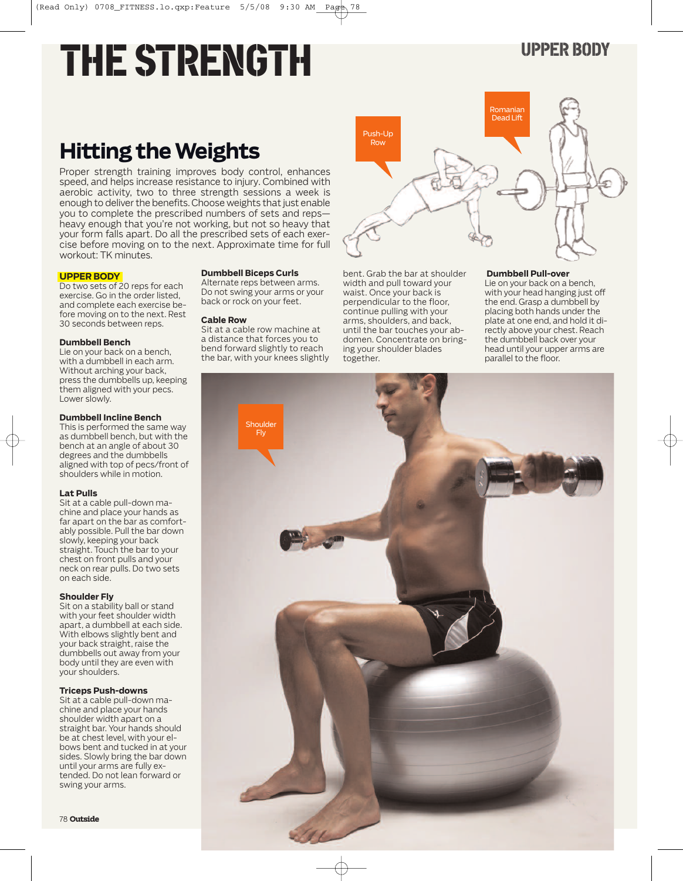# THE STRENGTH UPPER BODY

# **Hitting the Weights**

Proper strength training improves body control, enhances speed, and helps increase resistance to injury. Combined with aerobic activity, two to three strength sessions a week is enough to deliver the benefits. Choose weights that just enable you to complete the prescribed numbers of sets and reps heavy enough that you're not working, but not so heavy that your form falls apart. Do all the prescribed sets of each exercise before moving on to the next. Approximate time for full workout: TK minutes.

> **Dumbbell Biceps Curls** Alternate reps between arms. Do not swing your arms or your back or rock on your feet.

Sit at a cable row machine at a distance that forces you to bend forward slightly to reach the bar, with your knees slightly

**Cable Row**

#### **UPPER BODY**

Do two sets of 20 reps for each exercise. Go in the order listed, and complete each exercise before moving on to the next. Rest 30 seconds between reps.

#### **Dumbbell Bench**

Lie on your back on a bench, with a dumbbell in each arm. Without arching your back, press the dumbbells up, keeping them aligned with your pecs. Lower slowly.

#### **Dumbbell Incline Bench**

This is performed the same way as dumbbell bench, but with the bench at an angle of about 30 degrees and the dumbbells aligned with top of pecs/front of shoulders while in motion.

#### **Lat Pulls**

Sit at a cable pull-down machine and place your hands as far apart on the bar as comfortably possible. Pull the bar down slowly, keeping your back straight. Touch the bar to your chest on front pulls and your neck on rear pulls. Do two sets on each side.

#### **Shoulder Fly**

Sit on a stability ball or stand with your feet shoulder width apart, a dumbbell at each side. With elbows slightly bent and your back straight, raise the dumbbells out away from your body until they are even with your shoulders.

#### **Triceps Push-downs**

Sit at a cable pull-down machine and place your hands shoulder width apart on a straight bar. Your hands should be at chest level, with your elbows bent and tucked in at your sides. Slowly bring the bar down until your arms are fully extended. Do not lean forward or swing your arms.

# Romanian Dead Lift Push-Up Row

bent. Grab the bar at shoulder width and pull toward your waist. Once your back is perpendicular to the floor, continue pulling with your arms, shoulders, and back, until the bar touches your abdomen. Concentrate on bringing your shoulder blades together.

#### **Dumbbell Pull-over**

Lie on your back on a bench, with your head hanging just off the end. Grasp a dumbbell by placing both hands under the plate at one end, and hold it directly above your chest. Reach the dumbbell back over your head until your upper arms are parallel to the floor.

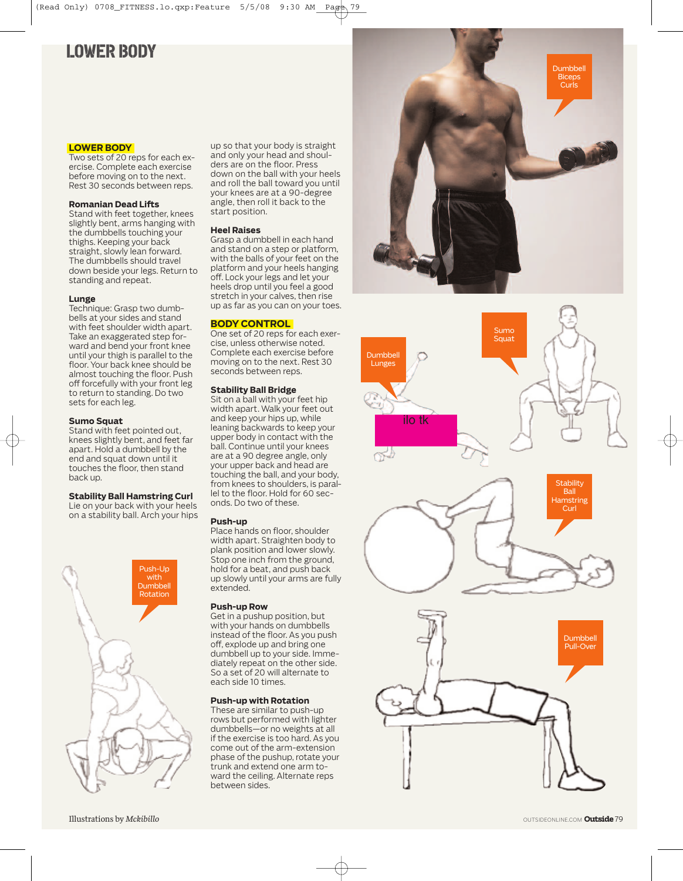### **LOWER BODY**

#### **LOWER BODY**

Two sets of 20 reps for each exercise. Complete each exercise before moving on to the next. Rest 30 seconds between reps.

#### **Romanian Dead Lifts**

Stand with feet together, knees slightly bent, arms hanging with the dumbbells touching your thighs. Keeping your back straight, slowly lean forward. The dumbbells should travel down beside your legs. Return to standing and repeat.

#### **Lunge**

Technique: Grasp two dumbbells at your sides and stand with feet shoulder width apart. Take an exaggerated step forward and bend your front knee until your thigh is parallel to the floor. Your back knee should be almost touching the floor. Push off forcefully with your front leg to return to standing. Do two sets for each leg.

#### **Sumo Squat**

Stand with feet pointed out, knees slightly bent, and feet far apart. Hold a dumbbell by the end and squat down until it touches the floor, then stand back up.

#### **Stability Ball Hamstring Curl**

Lie on your back with your heels on a stability ball. Arch your hips



up so that your body is straight and only your head and shoulders are on the floor. Press down on the ball with your heels and roll the ball toward you until your knees are at a 90-degree angle, then roll it back to the start position.

#### **Heel Raises**

Grasp a dumbbell in each hand and stand on a step or platform, with the balls of your feet on the platform and your heels hanging off. Lock your legs and let your heels drop until you feel a good stretch in your calves, then rise up as far as you can on your toes.

#### **BODY CONTROL**

One set of 20 reps for each exercise, unless otherwise noted. Complete each exercise before moving on to the next. Rest 30 seconds between reps.

#### **Stability Ball Bridge**

Sit on a ball with your feet hip width apart. Walk your feet out and keep your hips up, while leaning backwards to keep your upper body in contact with the ball. Continue until your knees are at a 90 degree angle, only your upper back and head are touching the ball, and your body, from knees to shoulders, is parallel to the floor. Hold for 60 seconds. Do two of these.

#### **Push-up**

Place hands on floor, shoulder width apart. Straighten body to plank position and lower slowly. Stop one inch from the ground, hold for a beat, and push back up slowly until your arms are fully extended.

#### **Push-up Row**

Get in a pushup position, but with your hands on dumbbells instead of the floor. As you push off, explode up and bring one dumbbell up to your side. Immediately repeat on the other side. So a set of 20 will alternate to each side 10 times.

#### **Push-up with Rotation**

These are similar to push-up rows but performed with lighter dumbbells—or no weights at all if the exercise is too hard. As you come out of the arm-extension phase of the pushup, rotate your trunk and extend one arm toward the ceiling. Alternate reps between sides.



Sumo Squat







**Stability** Ball **Hamstring** Curl



OUTSIDEONLINE.COM **Outside**79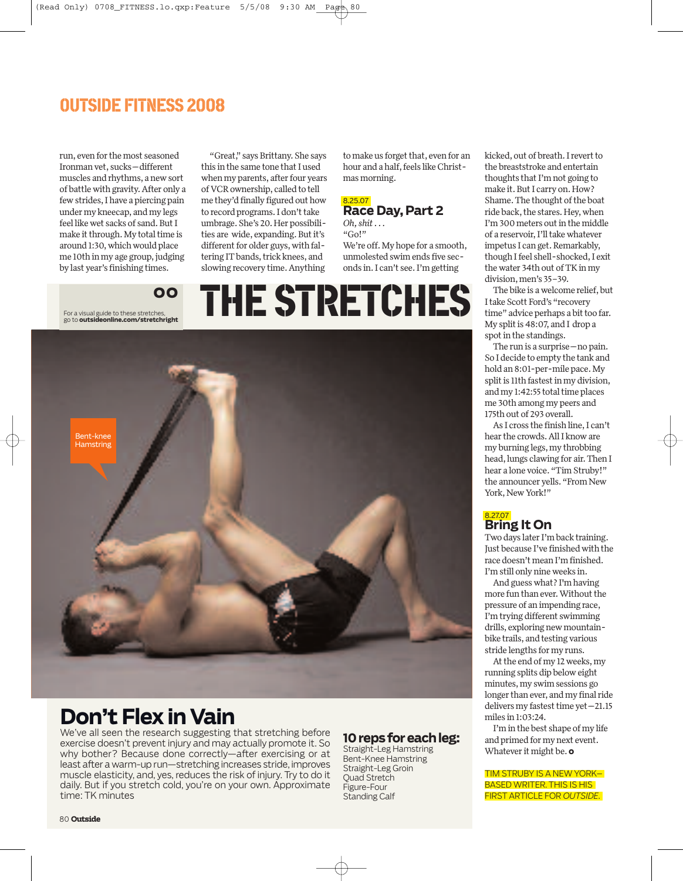### **OUTSIDE FITNESS 2008**

run, even for the most seasoned Ironman vet, sucks—different muscles and rhythms, a newsort of battle with gravity. After only a fewstrides,I have a piercing pain under my kneecap, and my legs feel like wet sacks of sand. But I make it through. My total time is around 1:30, which would place me 10th in my age group, judging by last year's finishing times.

For a visual guide to these stretches, go to **outsideonline.com/stretchright**

**OO**

"Great," says Brittany. She says this in the same tone that I used when my parents, after four years ofVCRownership, called to tell me they'd finally figured out how to record programs. I don't take umbrage.She's 20.Her possibilities are wide, expanding. But it's different for older guys, with faltering IT bands, trick knees, and slowing recovery time.Anything

to make us forget that, even for an hour and a half, feels like Christmas morning.

#### 8.25.07 **Race Day, Part 2**

*Oh, shit*... "Go!" We're off.My hope for a smooth, unmolested swim ends five seconds in.I can't see.I'm getting

# THESTRETCHES



## **Don't Flex in Vain**

We've all seen the research suggesting that stretching before exercise doesn't prevent injury and may actually promote it. So why bother? Because done correctly—after exercising or at least after a warm-up run—stretching increases stride, improves muscle elasticity, and, yes, reduces the risk of injury. Try to do it daily. But if you stretch cold, you're on your own. Approximate time: TK minutes

#### **10repsforeachleg:**

Straight-Leg Hamstring Bent-Knee Hamstring Straight-Leg Groin Quad Stretch Figure-Four Standing Calf

kicked, out of breath. I revert to the breaststroke and entertain thoughts that I'm not going to make it. But I carry on. How? Shame. The thought of the boat ride back, the stares. Hey, when I'm 300 meters out in the middle of a reservoir, I'll take whatever impetus I can get. Remarkably, though I feel shell-shocked, I exit the water 34th out of TK in my division, men's 35-39.

The bike is a welcome relief, but Itake Scott Ford's "recovery time" advice perhaps a bit too far. My split is 48:07, and I drop a spot in the standings.

The run is a surprise—no pain. So I decide to empty the tank and hold an 8:01-per-mile pace.My split is 11th fastest in my division, and my 1:42:55 total time places me 30th among my peers and 175th out of 293 overall.

As I cross the finish line, I can't hear the crowds.AllI knoware my burning legs,my throbbing head, lungs clawing for air. Then I hear a lone voice."Tim Struby!" the announcer yells."From New York, New York!"

#### 8.27.07 **Bring It On**

Two days later I'm back training. Just because I've finished with the race doesn't mean I'm finished. I'm still only nineweeks in.

And guesswhat? I'm having more fun than ever. Without the pressure of an impending race, I'm trying different swimming drills, exploring new mountainbike trails, and testing various stride lengths for my runs.

At the end of my 12 weeks, my running splits dip beloweight minutes,my swim sessions go longer than ever, and my final ride  $delivers$  my fastest time yet $-21.15$ miles in 1:03:24.

I'm in the best shape of my life and primed for my next event. Whatever it might be.**o**

TIM STRUBY IS A NEWYORK– BASED WRITER. THIS IS HIS FIRST ARTICLE FOR *OUTSIDE*.

80 **Outside**